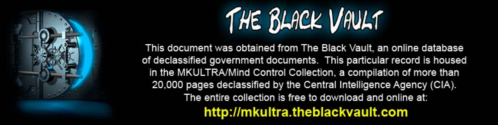

This document was obtained from The Black Vault, an online database of declassified government documents. This particular record is housed in the MKULTRA/Mind Control Collection, a compilation of more than 20,000 pages declassified by the Central Intelligence Agency (CIA). The entire collection is free to download and online at: http://mkultra.theblackvault.com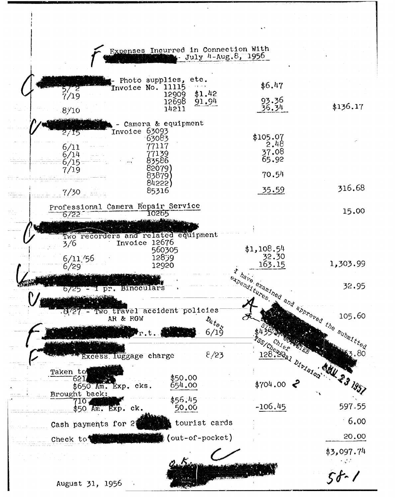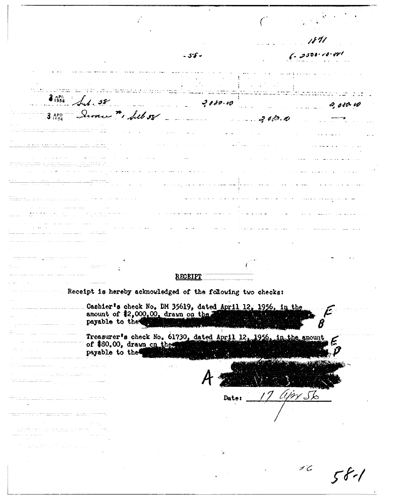$\zeta$  , gsor is or  $-55 -$ .<br>Особенно в сервение просто в 20 соедине се на население са се при изгледиша обоснование и супите первым в смет<br>Основно соедино светственно в нече в необносте на более становкого передотка светских у превоздукци, ходер,  $\mathcal{L}_1$ , 58  $7080.00$  $2,080.40$ ilian an 3 APR Severe ", fell 58  $\mathcal{Z}$  and  $\mathcal{Z}$  both  $\mathcal{D}$ . <u>ranggo gayan mga sasang sa</u> <u> 2020 - 2020 - 2020 - 2020 - 2020 - 2020 - 2020 - 20</u> ilaa aasta targi oo waxay ku dhamka ا<br>اموا با عظیم میں ایس ایا امارے میں ایک اور ایا جو ایک سوالها والمتاريخ وأوجبوه والمتماس والاجاز ر<br>موالي و در ايران است. an bandar a gcomhadair an tand and the RECEIPT Receipt is hereby acknowledged of the following two checks: Cashier's check No. DM 35619, dated April 12, 1956, in the amount of \$2,000.00, drawn on the 2000 and the set payable to the Treasurer's check No. 61730, dated April 12, 1956, in the amount of \$80.00, drawn on the payable to the 17 Upr Sb a sa sala Date: <u> Alexandro Alexandro de Alexandro de Alex</u> an an t-ainm ann an 1992.<br>An t-ainm an t-ainm a' bhaile an t-ainm an t-ainm  $16$  $58 - 1$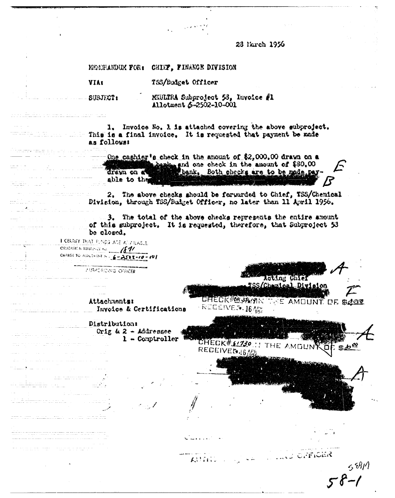23 March 1956

MEMERANDUM FOR: CHIEF, FINANCE DIVISION TSS/Budget Officer **VIAt** MEULIRA Subproject 58, Invoice #1  $SUBJ\mathcal{T}2$ Allotment 5-2502-10-001 1. Invoice No. 1 is attached covering the above subproject. This is a final invoice. It is requested that payment be made as follows: One caphier's check in the amount of \$2,000.00 drawn on a there and one check in the amount of \$80.00 bank, Both checks are to be mode pay drawn on a able to the 2. The above checks should be forwarded to Chief, TSS/Chemical Division, through TSS/Budget Officer, no later than 11 April 1956. aalinna a 3. The total of the above checks represents the entire amount of this subproject. It is requested, therefore, that Subproject 53 be closed. I CERTIFY THAT FUNDS ARE AUTILIABLE. **OSHOATICIN REFERENCE No. 1871** CHARGE TO ALLUMENT N  $\leftarrow$   $\leftarrow$  2502-10-10 **ZURPCRIZING OFFICER** Acting Chief  $\label{eq:2.1} \begin{split} \mathcal{L}_{\text{max}}(\mathbf{r}) = \frac{1}{2} \mathcal{L}_{\text{max}}(\mathbf{r}) \mathcal{L}_{\text{max}}(\mathbf{r}) \\ \mathcal{L}_{\text{max}}(\mathbf{r}) = \frac{1}{2} \mathcal{L}_{\text{max}}(\mathbf{r}) \mathcal{L}_{\text{max}}(\mathbf{r}) \mathcal{L}_{\text{max}}(\mathbf{r}) \end{split}$ SS/Chamical Division CHECK#M3549R Attachments: THE AMOUNT OF \$2000 REGENVEN. 16 APM Invoice & Certifications Distribution: Orig  $k$  2 - Addressee and the state of the state of the  $1 -$  Comptroller CHECK#\$1730 .: THE AMOUNT  $$D^{\infty}$$ RECEIVEG.16A المستعمل والمستعمل أأنام والمساعد , which is a simple companion of the set of the simulation of the  $\alpha$ **AND OPFICER** Allini. 5891 T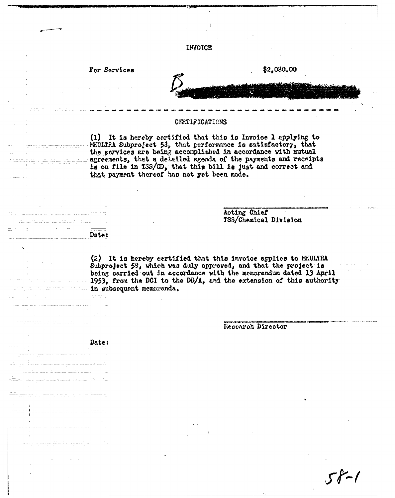| INVOICE<br>\$2,080.00<br>For Services<br><b>CERTIFICATIONS</b><br>(1) It is hereby certified that this is Invoice 1 applying to<br>MKULTRA Subproject 53, that performance is satisfactory, that<br>the services are being accomplished in accordance with mutual<br>sumercements, that a detailed agenda of the payments and receipts<br>is on file in TSS/CD, that this bill is just and correct and<br>that payment thereof has not yet been made.<br>Acting Chief<br>TSS/Chemical Division<br>and the state of the manufacturer of the<br>Date:<br>and <b>C</b> ha<br>(2) It is hereby certified that this invoice applies to MKULTRA<br>Subproject 58, which was duly approved, and that the project is being carried out in accordance with the memorandum dated 13 April<br>1953, from the DCI to the DD/A, and the extension of this authority<br>in subsequent memoranda. |  |
|------------------------------------------------------------------------------------------------------------------------------------------------------------------------------------------------------------------------------------------------------------------------------------------------------------------------------------------------------------------------------------------------------------------------------------------------------------------------------------------------------------------------------------------------------------------------------------------------------------------------------------------------------------------------------------------------------------------------------------------------------------------------------------------------------------------------------------------------------------------------------------|--|
|                                                                                                                                                                                                                                                                                                                                                                                                                                                                                                                                                                                                                                                                                                                                                                                                                                                                                    |  |
|                                                                                                                                                                                                                                                                                                                                                                                                                                                                                                                                                                                                                                                                                                                                                                                                                                                                                    |  |
|                                                                                                                                                                                                                                                                                                                                                                                                                                                                                                                                                                                                                                                                                                                                                                                                                                                                                    |  |
|                                                                                                                                                                                                                                                                                                                                                                                                                                                                                                                                                                                                                                                                                                                                                                                                                                                                                    |  |
|                                                                                                                                                                                                                                                                                                                                                                                                                                                                                                                                                                                                                                                                                                                                                                                                                                                                                    |  |
|                                                                                                                                                                                                                                                                                                                                                                                                                                                                                                                                                                                                                                                                                                                                                                                                                                                                                    |  |
|                                                                                                                                                                                                                                                                                                                                                                                                                                                                                                                                                                                                                                                                                                                                                                                                                                                                                    |  |
|                                                                                                                                                                                                                                                                                                                                                                                                                                                                                                                                                                                                                                                                                                                                                                                                                                                                                    |  |
| <del>die Beeldige vo</del> r die Staatsman van die Stad                                                                                                                                                                                                                                                                                                                                                                                                                                                                                                                                                                                                                                                                                                                                                                                                                            |  |
| Research Director<br>Date:                                                                                                                                                                                                                                                                                                                                                                                                                                                                                                                                                                                                                                                                                                                                                                                                                                                         |  |

 $\mathcal{O}(\mathcal{F})$  ,  $\mathcal{O}_\mathcal{F}$ 

See <mark>jaar as se</mark>

 $\sim$ 

 $\frac{1}{\sqrt{2}}\frac{1}{\sqrt{2}}\frac{1}{\sqrt{2}}\frac{1}{\sqrt{2}}\frac{1}{\sqrt{2}}\frac{1}{\sqrt{2}}\frac{1}{\sqrt{2}}\frac{1}{\sqrt{2}}\frac{1}{\sqrt{2}}\frac{1}{\sqrt{2}}\frac{1}{\sqrt{2}}\frac{1}{\sqrt{2}}\frac{1}{\sqrt{2}}\frac{1}{\sqrt{2}}\frac{1}{\sqrt{2}}\frac{1}{\sqrt{2}}\frac{1}{\sqrt{2}}\frac{1}{\sqrt{2}}\frac{1}{\sqrt{2}}\frac{1}{\sqrt{2}}\frac{1}{\sqrt{2}}\frac{1}{\sqrt{2}}$ 

.<br>Timot de la

 $58 - 1$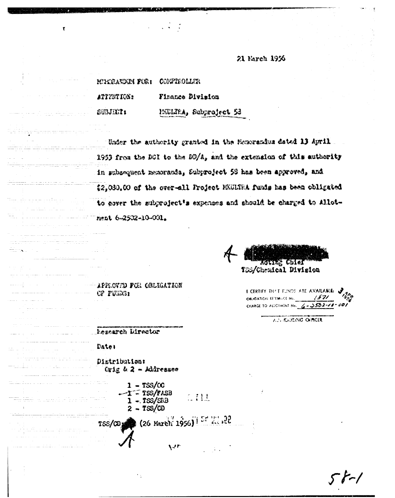21 Farch 1936

| <b>MIXRANDIN FOR1</b> | COMPTROLLER            |  |  |
|-----------------------|------------------------|--|--|
| attestion:            | Finance Division       |  |  |
| suluit:               | PEULTRA, Subproject 53 |  |  |

Under the authority granted in the Memorandus dated 13 April 1953 from the DCI to the DD/A, and the extension of this authority in gubsequent memoranda, Subproject 58 has been approved, and \$2,030.00 of the over-all Project MUUSEA funds has been obligated to cover the subproject's expenses and should be charged to Allotnent 6-2502-10-001.

<u>tatinë celet</u> TOS/Chemical Division

I CERTIFY THAT FUNDS ARE AVAILABLE: OBJOATION RETIRICE No. 4821 CHARGE TO ALLOTHENT No.  $6 - 3582 - 78 - 601$ 

AULIOREING OFFICER

## APPROVED FOR OBLIGATION **GP FUNDS:**

**Lessarch Director** 

## Date:

 $\mathcal{L}_{\text{max}}$  and  $\mathcal{L}_{\text{max}}$ 

and the company

ta kalendar memberikan di dengan ba

<u>serengan bahasa perangan berasa pada </u>

Distribution: Crig & 2 - Addressee

 $\sim$ 

 $1 - TSS/CC$  $-T$  = TSS/FASB  $1 - TSS/SRB$  $2 - TSS/CD$ 

 $(26 \text{ March } 1956)^{157}$  22  $TSS/CD$ 

 $\mathbb{Z}$   $\{11\}$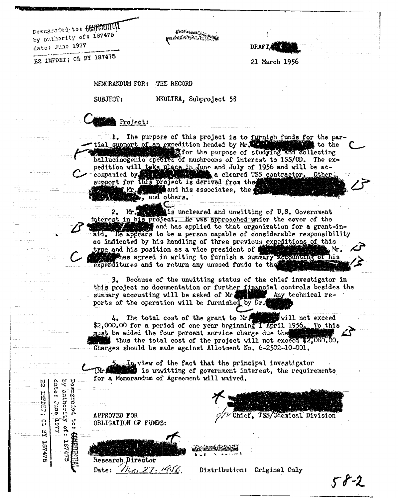Downgraded; to: CONTUCTINAL by authority of: 187475 date: June 1977

**Protinent Service Port and Service** 

**DRAFT** 

E2 IMPDET; CL BY 187475

21 March 1956

MEMORANDUM FOR: THE RECORD

SUBJECT:

MKULTRA, Subproject 53

Project:

1. The purpose of this project is to furnish funds for the partial support of an expedition headed by Mr. xpedition headed by Mr. 2007 and collecting<br>If for the purpose of studying and collecting to the hallucinogenic species of mushrooms of interest to TSS/CD. The expedition will take place in June and July of 1956 and will be accompanied by the section of a cleared TSS contractor. Other Other. support for this project is derived from the and his associates, the ( Mr .1 b, and others.

is uncleared and unwitting of U.S. Government  $Mr.$ interest in his project. He was approached under the cover of the and has applied to that organization for a grant-inaid. He appears to be a person capable of considerable responsibility as indicated by his handling of three previous expeditions of this type and his position as a vice president of ( ، Mr Thas agreed in writing to furnish a summary accounting of his expenditures and to return any unused funds to the

3. Because of the unwitting status of the chief investigator in this project no documentation or further financial controls besides the summary accounting will be asked of Mr. Any technical reports of the operation will be furnished by Dr.

The total cost of the grant to Mr. 4.  $\ddagger$ will not exceed.  $2,000,00$  for a period of one year beginning I April 1956. To this must be added the four percent service charge due the thus the total cost of the project will not exceed \$2,030.00. Charges should be made against Allotment No. 6-2502-10-001.

In view of the fact that the principal investigator is unwitting of government interest, the requirements for a Memorandum of Agreement will waived.

APPROVED FOR OBLIGATION OF FUNDS:

date:  $\zeta$ 

**June** 

1257

 $\frac{5}{5}$ 

187475

INFDET;

ទ្ទ

 $\mathbf{z}$ 

187475

**Dobartshod** catroduce

ိုင္ပံ

**Research Director** 27. iUS. Date:

Distribution: Original Only

Chief, TSS/Chemical Division

 $58 - 2$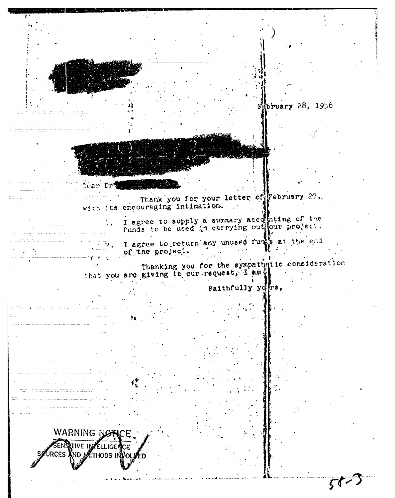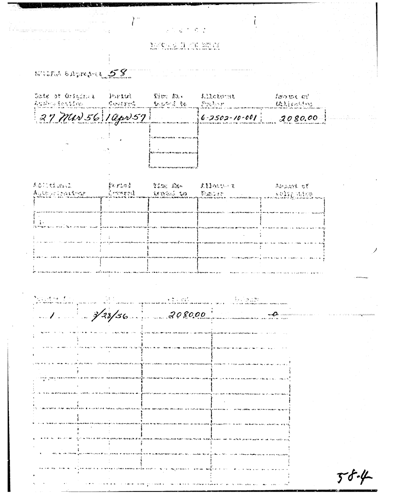$\frac{1}{2}$  ,  $\frac{1}{2}$  ,  $\frac{1}{2}$  ,  $\frac{1}{2}$  ,  $\frac{1}{2}$  ,  $\frac{1}{2}$ MCCOLCERN

 $\sum$ 

MATH SAPPOINT 58

 $\label{eq:1} \begin{array}{lllllllll} \alpha_{\rm{max}} & \alpha_{\rm{max}} & \alpha_{\rm{max}} & \alpha_{\rm{max}} \\ \alpha_{\rm{max}} & \alpha_{\rm{max}} & \alpha_{\rm{max}} \end{array}$ 

 $\cdots$  .  $\cdots$ 

s.<br>Saidh

| Date of Original<br>再程序网络连线电盘控制机 | <b>Partui</b> | Da br<br>- Construct - - 松仁神宗 赵 - - Foxylvan | Lileturat             | $l$ ຫານ $t$ $ct'$<br><b>Chairman</b> |
|----------------------------------|---------------|----------------------------------------------|-----------------------|--------------------------------------|
| $37$ Man 56 10pr 57              |               |                                              | $6 - 2502 - 10 - 001$ | 2080.00                              |
|                                  |               |                                              |                       |                                      |
|                                  |               |                                              |                       |                                      |
|                                  |               |                                              |                       |                                      |
| (委託)と始めない                        | 否定的方法法        |                                              |                       | "需要的法治情",也有                          |

|                                                                                                          | 医心脏病 计数据库 医心脏病 医心脏病 医心脏 | and the company of the company of the |
|----------------------------------------------------------------------------------------------------------|-------------------------|---------------------------------------|
|                                                                                                          |                         |                                       |
| it in 2.1.<br>25 Metatri Nord (en 2008), De Kliman was de Salar Groen was alle Baldesse monumentale rapp |                         |                                       |
|                                                                                                          |                         |                                       |
|                                                                                                          |                         |                                       |
|                                                                                                          |                         |                                       |

|  | at a compositor de la participat.<br>La participata construir a la participata de la participata de la participata de la participata de la particip |  |
|--|-----------------------------------------------------------------------------------------------------------------------------------------------------|--|
|  |                                                                                                                                                     |  |
|  |                                                                                                                                                     |  |
|  |                                                                                                                                                     |  |
|  |                                                                                                                                                     |  |
|  |                                                                                                                                                     |  |
|  |                                                                                                                                                     |  |
|  |                                                                                                                                                     |  |
|  |                                                                                                                                                     |  |
|  |                                                                                                                                                     |  |
|  |                                                                                                                                                     |  |
|  |                                                                                                                                                     |  |
|  |                                                                                                                                                     |  |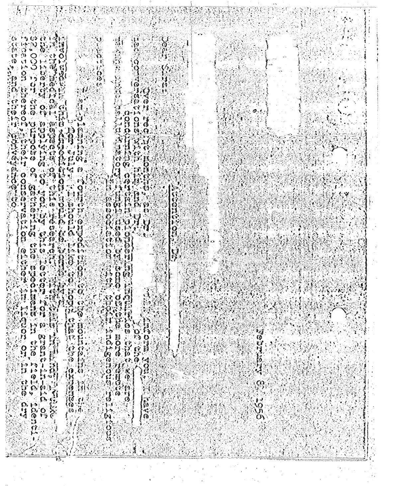